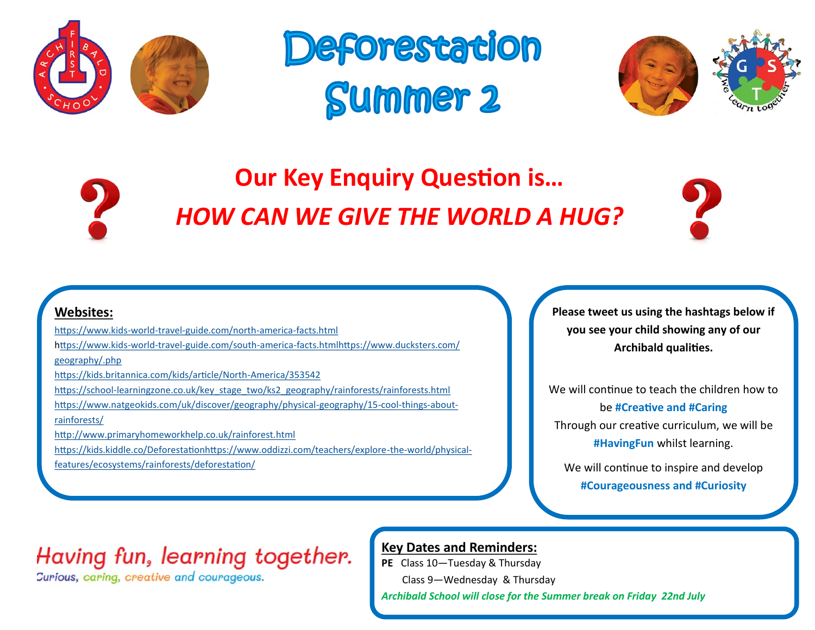





## **Our Key Enquiry Question is…** *HOW CAN WE GIVE THE WORLD A HUG?*



#### **Websites:**

[https://www.kids](https://www.kids-world-travel-guide.com/north-america-facts.html)-world-travel-guide.com/north-america-facts.html https://www.kids-world-travel-[guide.com/south](https://www.kids-world-travel-guide.com/south-america-facts.html)-america-facts.htmlhttps://www.ducksters.com/ [geography/.php](https://www.ducksters.com/geography/usgeography.php) [https://kids.britannica.com/kids/article/North](https://kids.britannica.com/kids/article/North-America/353542)-America/353542 https://school-[learningzone.co.uk/key\\_stage\\_two/ks2\\_geography/rainforests/rainforests.html](https://school-learningzone.co.uk/key_stage_two/ks2_geography/rainforests/rainforests.html) [https://www.natgeokids.com/uk/discover/geography/physical](https://www.natgeokids.com/uk/discover/geography/physical-geography/15-cool-things-about-rainforests/)-geography/15-cool-things-about[rainforests/](https://www.natgeokids.com/uk/discover/geography/physical-geography/15-cool-things-about-rainforests/) <http://www.primaryhomeworkhelp.co.uk/rainforest.html> [https://kids.kiddle.co/Deforestationh](https://kids.kiddle.co/Deforestation)[ttps://www.oddizzi.com/teachers/explore](https://www.oddizzi.com/teachers/explore-the-world/physical-features/ecosystems/rainforests/deforestation/)-the-world/physical**Please tweet us using the hashtags below if you see your child showing any of our Archibald qualities.**

We will continue to teach the children how to be **#Creative and #Caring** Through our creative curriculum, we will be **#HavingFun** whilst learning.

We will continue to inspire and develop **#Courageousness and #Curiosity**

### Having fun, learning together.

Curious, caring, creative and courageous.

[features/ecosystems/rainforests/deforestation/](https://www.oddizzi.com/teachers/explore-the-world/physical-features/ecosystems/rainforests/deforestation/)

#### **Key Dates and Reminders:**

**PE** Class 10—Tuesday & Thursday

Class 9—Wednesday & Thursday

*Archibald School will close for the Summer break on Friday 22nd July*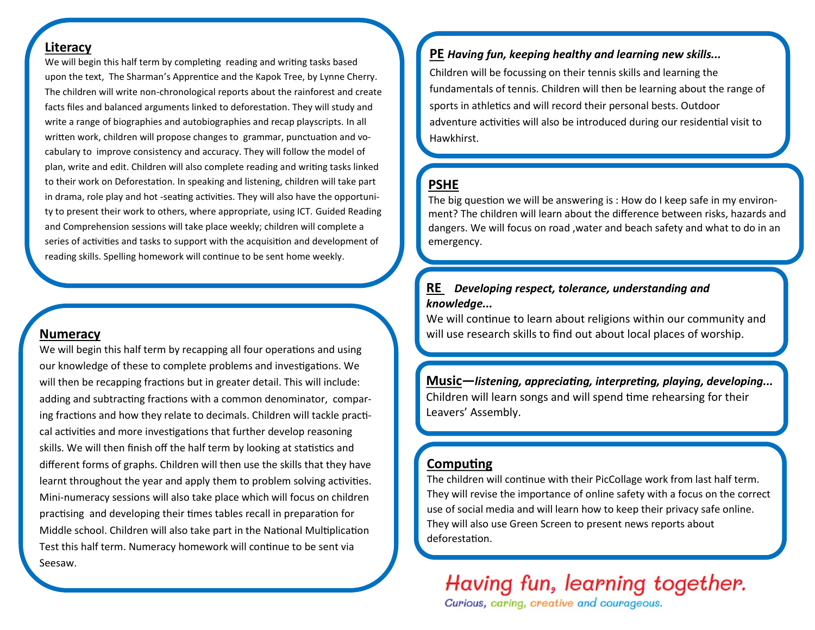#### **Literacy**

We will begin this half term by completing reading and writing tasks based upon the text, The Sharman's Apprentice and the Kapok Tree, by Lynne Cherry. The children will write non-chronological reports about the rainforest and create facts files and balanced arguments linked to deforestation. They will study and write a range of biographies and autobiographies and recap playscripts. In all written work, children will propose changes to grammar, punctuation and vocabulary to improve consistency and accuracy. They will follow the model of plan, write and edit. Children will also complete reading and writing tasks linked to their work on Deforestation. In speaking and listening, children will take part in drama, role play and hot -seating activities. They will also have the opportunity to present their work to others, where appropriate, using ICT. Guided Reading and Comprehension sessions will take place weekly; children will complete a series of activities and tasks to support with the acquisition and development of reading skills. Spelling homework will continue to be sent home weekly.

#### **Numeracy**

We will begin this half term by recapping all four operations and using our knowledge of these to complete problems and investigations. We will then be recapping fractions but in greater detail. This will include: adding and subtracting fractions with a common denominator, comparing fractions and how they relate to decimals. Children will tackle practical activities and more investigations that further develop reasoning skills. We will then finish off the half term by looking at statistics and different forms of graphs. Children will then use the skills that they have learnt throughout the year and apply them to problem solving activities. Mini-numeracy sessions will also take place which will focus on children practising and developing their times tables recall in preparation for Middle school. Children will also take part in the National Multiplication Test this half term. Numeracy homework will continue to be sent via Seesaw.

#### **PE** *Having fun, keeping healthy and learning new skills...*

Children will be focussing on their tennis skills and learning the fundamentals of tennis. Children will then be learning about the range of sports in athletics and will record their personal bests. Outdoor adventure activities will also be introduced during our residential visit to Hawkhirst.

#### **PSHE**

The big question we will be answering is : How do I keep safe in my environment? The children will learn about the difference between risks, hazards and dangers. We will focus on road ,water and beach safety and what to do in an emergency.

#### **RE** *Developing respect, tolerance, understanding and knowledge...*

We will continue to learn about religions within our community and will use research skills to find out about local places of worship.

**Music—***listening, appreciating, interpreting, playing, developing...* Children will learn songs and will spend time rehearsing for their Leavers' Assembly.

#### **Computing**

The children will continue with their PicCollage work from last half term. They will revise the importance of online safety with a focus on the correct use of social media and will learn how to keep their privacy safe online. They will also use Green Screen to present news reports about deforestation.

Having fun, learning together.

Curious, caring, creative and courageous.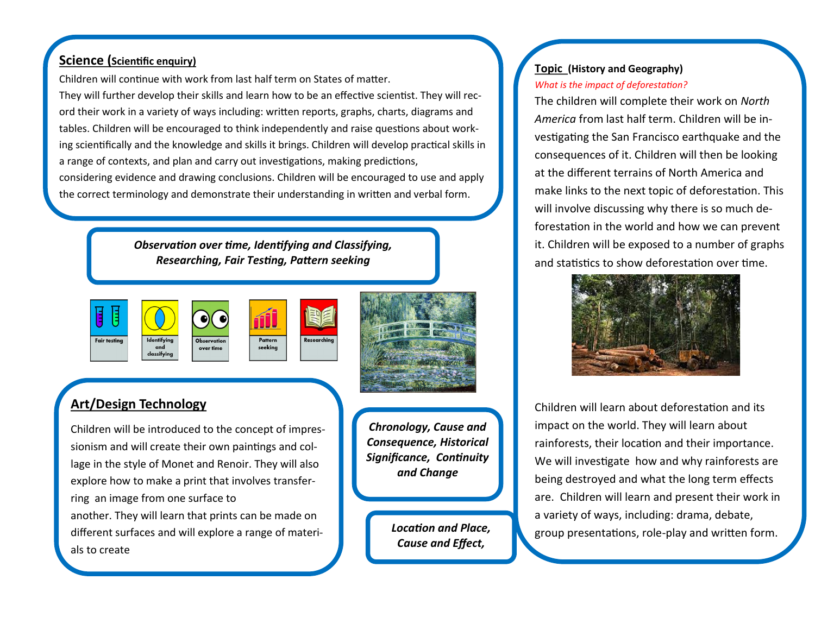#### **Science (Scientific enquiry)**

Children will continue with work from last half term on States of matter.

They will further develop their skills and learn how to be an effective scientist. They will record their work in a variety of ways including: written reports, graphs, charts, diagrams and tables. Children will be encouraged to think independently and raise questions about working scientifically and the knowledge and skills it brings. Children will develop practical skills in a range of contexts, and plan and carry out investigations, making predictions, considering evidence and drawing conclusions. Children will be encouraged to use and apply the correct terminology and demonstrate their understanding in written and verbal form.

> *Observation over time, Identifying and Classifying, Researching, Fair Testing, Pattern seeking*





#### **Art/Design Technology**

Children will be introduced to the concept of impressionism and will create their own paintings and collage in the style of Monet and Renoir. They will also explore how to make a print that involves transferring an image from one surface to another. They will learn that prints can be made on different surfaces and will explore a range of materials to create

*Chronology, Cause and Consequence, Historical Significance, Continuity and Change*

> *Location and Place, Cause and Effect,*

#### **Topic (History and Geography)** *What is the impact of deforestation?*

The children will complete their work on *North America* from last half term. Children will be investigating the San Francisco earthquake and the consequences of it. Children will then be looking at the different terrains of North America and make links to the next topic of deforestation. This will involve discussing why there is so much deforestation in the world and how we can prevent it. Children will be exposed to a number of graphs and statistics to show deforestation over time.



Children will learn about deforestation and its impact on the world. They will learn about rainforests, their location and their importance. We will investigate how and why rainforests are being destroyed and what the long term effects are. Children will learn and present their work in a variety of ways, including: drama, debate, group presentations, role-play and written form.